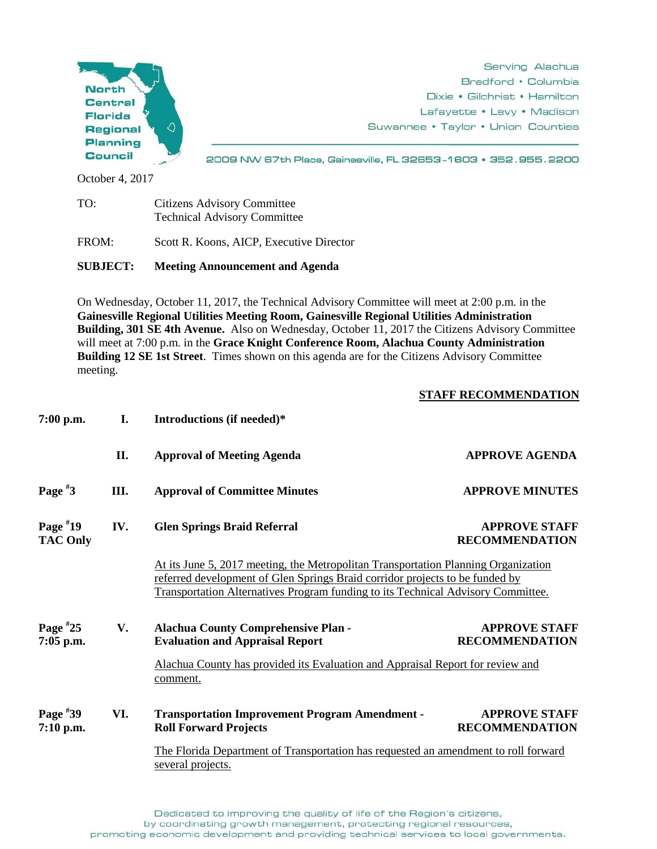

Technical Advisory Committee

FROM: Scott R. Koons, AICP, Executive Director

**SUBJECT: Meeting Announcement and Agenda**

On Wednesday, October 11, 2017, the Technical Advisory Committee will meet at 2:00 p.m. in the **Gainesville Regional Utilities Meeting Room, Gainesville Regional Utilities Administration Building, 301 SE 4th Avenue.** Also on Wednesday, October 11, 2017 the Citizens Advisory Committee will meet at 7:00 p.m. in the **Grace Knight Conference Room, Alachua County Administration Building 12 SE 1st Street**. Times shown on this agenda are for the Citizens Advisory Committee meeting.

## **STAFF RECOMMENDATION**

| 7:00 p.m.                     | I.  | Introductions (if needed)*                                                                                                                                                                                                                             |                                               |
|-------------------------------|-----|--------------------------------------------------------------------------------------------------------------------------------------------------------------------------------------------------------------------------------------------------------|-----------------------------------------------|
|                               | II. | <b>Approval of Meeting Agenda</b>                                                                                                                                                                                                                      | <b>APPROVE AGENDA</b>                         |
| Page $*3$                     | Ш.  | <b>Approval of Committee Minutes</b>                                                                                                                                                                                                                   | <b>APPROVE MINUTES</b>                        |
| Page $*19$<br><b>TAC Only</b> | IV. | <b>Glen Springs Braid Referral</b>                                                                                                                                                                                                                     | <b>APPROVE STAFF</b><br><b>RECOMMENDATION</b> |
|                               |     | At its June 5, 2017 meeting, the Metropolitan Transportation Planning Organization<br>referred development of Glen Springs Braid corridor projects to be funded by<br>Transportation Alternatives Program funding to its Technical Advisory Committee. |                                               |
| Page $*25$<br>7:05 p.m.       | V.  | <b>Alachua County Comprehensive Plan -</b><br><b>Evaluation and Appraisal Report</b>                                                                                                                                                                   | <b>APPROVE STAFF</b><br><b>RECOMMENDATION</b> |
|                               |     | Alachua County has provided its Evaluation and Appraisal Report for review and<br>comment.                                                                                                                                                             |                                               |
| Page $*39$<br>$7:10$ p.m.     | VI. | <b>Transportation Improvement Program Amendment -</b><br><b>Roll Forward Projects</b>                                                                                                                                                                  | <b>APPROVE STAFF</b><br><b>RECOMMENDATION</b> |
|                               |     | The Florida Department of Transportation has requested an amendment to roll forward<br>several projects.                                                                                                                                               |                                               |